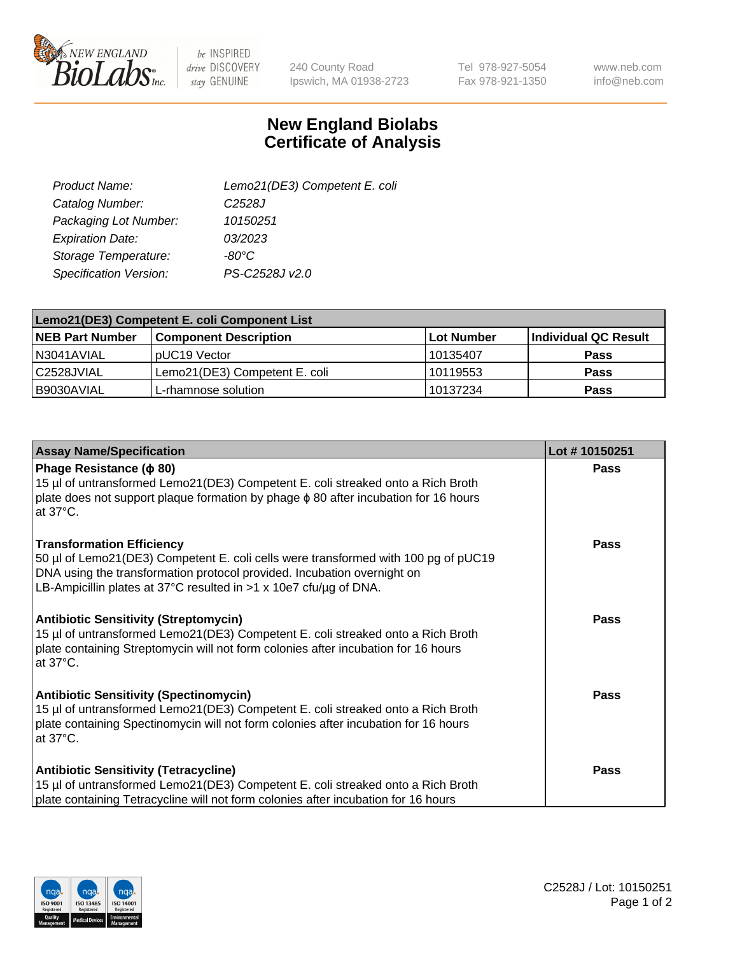

be INSPIRED drive DISCOVERY stay GENUINE

240 County Road Ipswich, MA 01938-2723 Tel 978-927-5054 Fax 978-921-1350 www.neb.com info@neb.com

## **New England Biolabs Certificate of Analysis**

| Lemo21(DE3) Competent E. coli |
|-------------------------------|
| C <sub>2528</sub> J           |
| 10150251                      |
| 03/2023                       |
| $-80^{\circ}$ C               |
| PS-C2528J v2.0                |
|                               |

| Lemo21(DE3) Competent E. coli Component List |                               |                   |                      |  |
|----------------------------------------------|-------------------------------|-------------------|----------------------|--|
| <b>NEB Part Number</b>                       | <b>Component Description</b>  | <b>Lot Number</b> | Individual QC Result |  |
| N3041AVIAL                                   | I pUC19 Vector                | l 10135407        | Pass                 |  |
| l C2528JVIAL                                 | Lemo21(DE3) Competent E. coli | 10119553          | Pass                 |  |
| B9030AVIAL                                   | L-rhamnose solution           | 10137234          | <b>Pass</b>          |  |

| <b>Assay Name/Specification</b>                                                                                                                                                                                                                                        | Lot #10150251 |
|------------------------------------------------------------------------------------------------------------------------------------------------------------------------------------------------------------------------------------------------------------------------|---------------|
| Phage Resistance ( $\phi$ 80)<br>15 µl of untransformed Lemo21(DE3) Competent E. coli streaked onto a Rich Broth<br>plate does not support plaque formation by phage $\phi$ 80 after incubation for 16 hours<br>at 37°C.                                               | <b>Pass</b>   |
| <b>Transformation Efficiency</b><br>50 µl of Lemo21(DE3) Competent E. coli cells were transformed with 100 pg of pUC19<br>DNA using the transformation protocol provided. Incubation overnight on<br>LB-Ampicillin plates at 37°C resulted in >1 x 10e7 cfu/ug of DNA. | <b>Pass</b>   |
| <b>Antibiotic Sensitivity (Streptomycin)</b><br>15 µl of untransformed Lemo21(DE3) Competent E. coli streaked onto a Rich Broth<br>plate containing Streptomycin will not form colonies after incubation for 16 hours<br>at 37°C.                                      | <b>Pass</b>   |
| <b>Antibiotic Sensitivity (Spectinomycin)</b><br>15 µl of untransformed Lemo21(DE3) Competent E. coli streaked onto a Rich Broth<br>plate containing Spectinomycin will not form colonies after incubation for 16 hours<br>at 37°C.                                    | <b>Pass</b>   |
| <b>Antibiotic Sensitivity (Tetracycline)</b><br>15 µl of untransformed Lemo21(DE3) Competent E. coli streaked onto a Rich Broth<br>plate containing Tetracycline will not form colonies after incubation for 16 hours                                                  | Pass          |